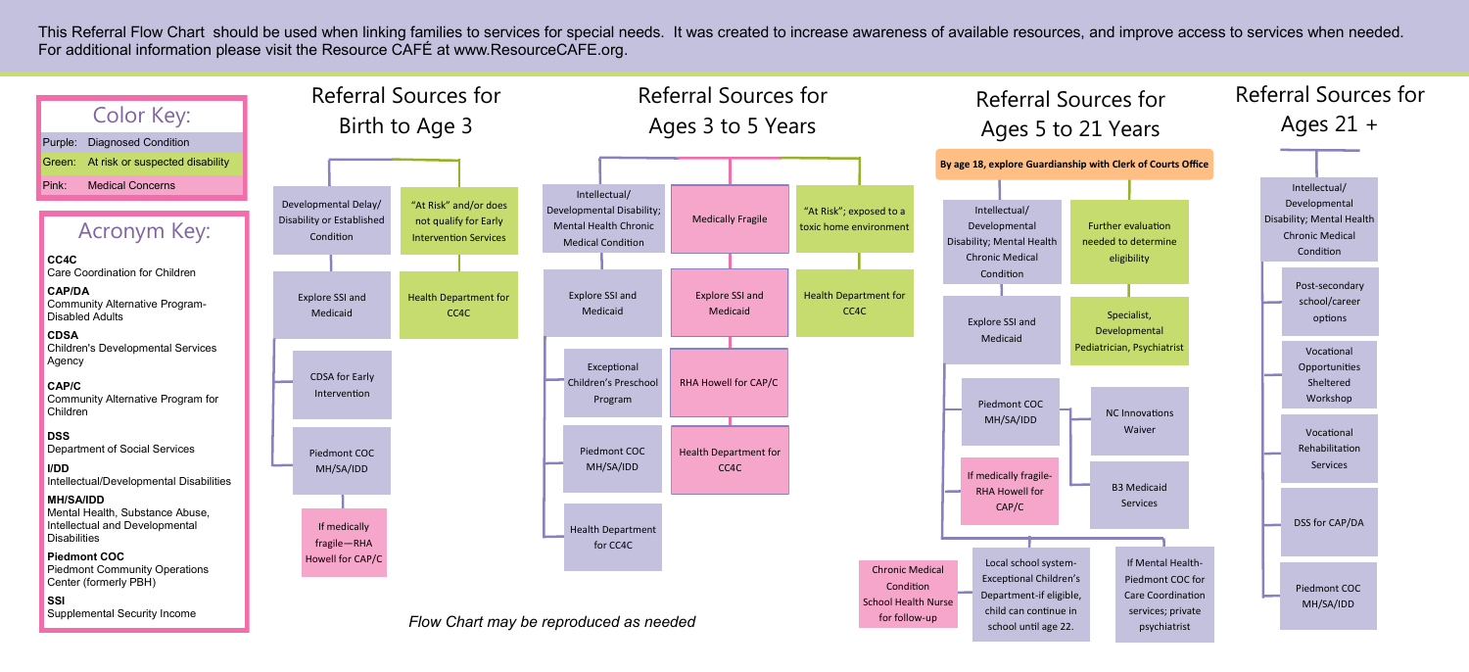This Referral Flow Chart should be used when linking families to services for special needs. It was created to increase awareness of available resources, and improve access to services when needed. For additional information please visit the Resource CAFÉ at www.ResourceCAFE.org.